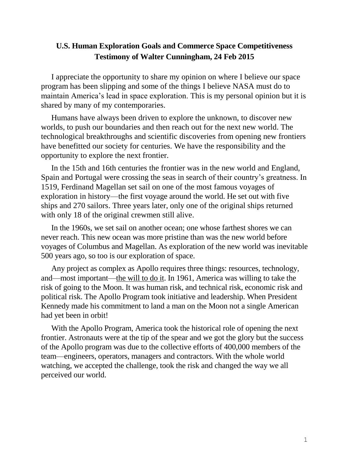## **U.S. Human Exploration Goals and Commerce Space Competitiveness Testimony of Walter Cunningham, 24 Feb 2015**

I appreciate the opportunity to share my opinion on where I believe our space program has been slipping and some of the things I believe NASA must do to maintain America's lead in space exploration. This is my personal opinion but it is shared by many of my contemporaries.

Humans have always been driven to explore the unknown, to discover new worlds, to push our boundaries and then reach out for the next new world. The technological breakthroughs and scientific discoveries from opening new frontiers have benefitted our society for centuries. We have the responsibility and the opportunity to explore the next frontier.

In the 15th and 16th centuries the frontier was in the new world and England, Spain and Portugal were crossing the seas in search of their country's greatness. In 1519, Ferdinand Magellan set sail on one of the most famous voyages of exploration in history—the first voyage around the world. He set out with five ships and 270 sailors. Three years later, only one of the original ships returned with only 18 of the original crewmen still alive.

In the 1960s, we set sail on another ocean; one whose farthest shores we can never reach. This new ocean was more pristine than was the new world before voyages of Columbus and Magellan. As exploration of the new world was inevitable 500 years ago, so too is our exploration of space.

Any project as complex as Apollo requires three things: resources, technology, and—most important—the will to do it. In 1961, America was willing to take the risk of going to the Moon. It was human risk, and technical risk, economic risk and political risk. The Apollo Program took initiative and leadership. When President Kennedy made his commitment to land a man on the Moon not a single American had yet been in orbit!

With the Apollo Program, America took the historical role of opening the next frontier. Astronauts were at the tip of the spear and we got the glory but the success of the Apollo program was due to the collective efforts of 400,000 members of the team—engineers, operators, managers and contractors. With the whole world watching, we accepted the challenge, took the risk and changed the way we all perceived our world.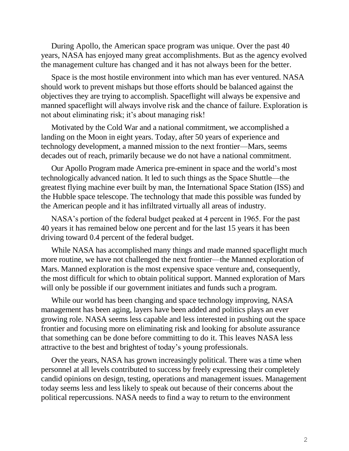During Apollo, the American space program was unique. Over the past 40 years, NASA has enjoyed many great accomplishments. But as the agency evolved the management culture has changed and it has not always been for the better.

Space is the most hostile environment into which man has ever ventured. NASA should work to prevent mishaps but those efforts should be balanced against the objectives they are trying to accomplish. Spaceflight will always be expensive and manned spaceflight will always involve risk and the chance of failure. Exploration is not about eliminating risk; it's about managing risk!

Motivated by the Cold War and a national commitment, we accomplished a landing on the Moon in eight years. Today, after 50 years of experience and technology development, a manned mission to the next frontier—Mars, seems decades out of reach, primarily because we do not have a national commitment.

Our Apollo Program made America pre-eminent in space and the world's most technologically advanced nation. It led to such things as the Space Shuttle—the greatest flying machine ever built by man, the International Space Station (ISS) and the Hubble space telescope. The technology that made this possible was funded by the American people and it has infiltrated virtually all areas of industry.

NASA's portion of the federal budget peaked at 4 percent in 1965. For the past 40 years it has remained below one percent and for the last 15 years it has been driving toward 0.4 percent of the federal budget.

While NASA has accomplished many things and made manned spaceflight much more routine, we have not challenged the next frontier—the Manned exploration of Mars. Manned exploration is the most expensive space venture and, consequently, the most difficult for which to obtain political support. Manned exploration of Mars will only be possible if our government initiates and funds such a program.

While our world has been changing and space technology improving, NASA management has been aging, layers have been added and politics plays an ever growing role. NASA seems less capable and less interested in pushing out the space frontier and focusing more on eliminating risk and looking for absolute assurance that something can be done before committing to do it. This leaves NASA less attractive to the best and brightest of today's young professionals.

Over the years, NASA has grown increasingly political. There was a time when personnel at all levels contributed to success by freely expressing their completely candid opinions on design, testing, operations and management issues. Management today seems less and less likely to speak out because of their concerns about the political repercussions. NASA needs to find a way to return to the environment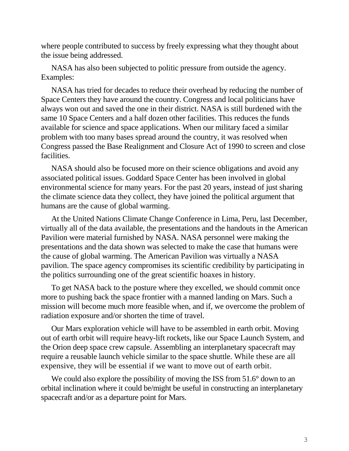where people contributed to success by freely expressing what they thought about the issue being addressed.

NASA has also been subjected to politic pressure from outside the agency. Examples:

NASA has tried for decades to reduce their overhead by reducing the number of Space Centers they have around the country. Congress and local politicians have always won out and saved the one in their district. NASA is still burdened with the same 10 Space Centers and a half dozen other facilities. This reduces the funds available for science and space applications. When our military faced a similar problem with too many bases spread around the country, it was resolved when Congress passed the Base Realignment and Closure Act of 1990 to screen and close facilities.

NASA should also be focused more on their science obligations and avoid any associated political issues. Goddard Space Center has been involved in global environmental science for many years. For the past 20 years, instead of just sharing the climate science data they collect, they have joined the political argument that humans are the cause of global warming.

At the United Nations Climate Change Conference in Lima, Peru, last December, virtually all of the data available, the presentations and the handouts in the American Pavilion were material furnished by NASA. NASA personnel were making the presentations and the data shown was selected to make the case that humans were the cause of global warming. The American Pavilion was virtually a NASA pavilion. The space agency compromises its scientific credibility by participating in the politics surrounding one of the great scientific hoaxes in history.

To get NASA back to the posture where they excelled, we should commit once more to pushing back the space frontier with a manned landing on Mars. Such a mission will become much more feasible when, and if, we overcome the problem of radiation exposure and/or shorten the time of travel.

Our Mars exploration vehicle will have to be assembled in earth orbit. Moving out of earth orbit will require heavy-lift rockets, like our Space Launch System, and the Orion deep space crew capsule. Assembling an interplanetary spacecraft may require a reusable launch vehicle similar to the space shuttle. While these are all expensive, they will be essential if we want to move out of earth orbit.

We could also explore the possibility of moving the ISS from 51.6° down to an orbital inclination where it could be/might be useful in constructing an interplanetary spacecraft and/or as a departure point for Mars.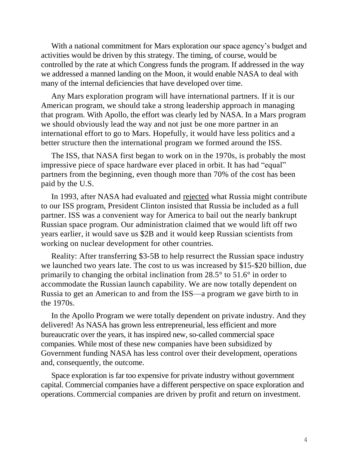With a national commitment for Mars exploration our space agency's budget and activities would be driven by this strategy. The timing, of course, would be controlled by the rate at which Congress funds the program. If addressed in the way we addressed a manned landing on the Moon, it would enable NASA to deal with many of the internal deficiencies that have developed over time.

Any Mars exploration program will have international partners. If it is our American program, we should take a strong leadership approach in managing that program. With Apollo, the effort was clearly led by NASA. In a Mars program we should obviously lead the way and not just be one more partner in an international effort to go to Mars. Hopefully, it would have less politics and a better structure then the international program we formed around the ISS.

The ISS, that NASA first began to work on in the 1970s, is probably the most impressive piece of space hardware ever placed in orbit. It has had "equal" partners from the beginning, even though more than 70% of the cost has been paid by the U.S.

In 1993, after NASA had evaluated and rejected what Russia might contribute to our ISS program, President Clinton insisted that Russia be included as a full partner. ISS was a convenient way for America to bail out the nearly bankrupt Russian space program. Our administration claimed that we would lift off two years earlier, it would save us \$2B and it would keep Russian scientists from working on nuclear development for other countries.

Reality: After transferring \$3-5B to help resurrect the Russian space industry we launched two years late. The cost to us was increased by \$15-\$20 billion, due primarily to changing the orbital inclination from 28.5° to 51.6° in order to accommodate the Russian launch capability. We are now totally dependent on Russia to get an American to and from the ISS—a program we gave birth to in the 1970s.

In the Apollo Program we were totally dependent on private industry. And they delivered! As NASA has grown less entrepreneurial, less efficient and more bureaucratic over the years, it has inspired new, so-called commercial space companies. While most of these new companies have been subsidized by Government funding NASA has less control over their development, operations and, consequently, the outcome.

Space exploration is far too expensive for private industry without government capital. Commercial companies have a different perspective on space exploration and operations. Commercial companies are driven by profit and return on investment.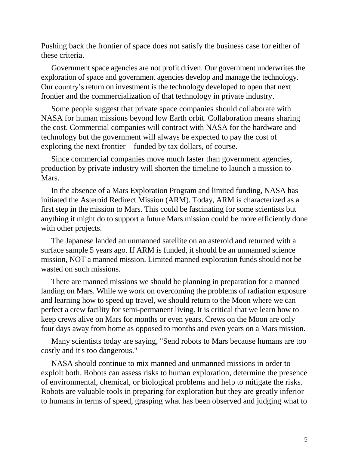Pushing back the frontier of space does not satisfy the business case for either of these criteria.

Government space agencies are not profit driven. Our government underwrites the exploration of space and government agencies develop and manage the technology. Our country's return on investment is the technology developed to open that next frontier and the commercialization of that technology in private industry.

Some people suggest that private space companies should collaborate with NASA for human missions beyond low Earth orbit. Collaboration means sharing the cost. Commercial companies will contract with NASA for the hardware and technology but the government will always be expected to pay the cost of exploring the next frontier—funded by tax dollars, of course.

Since commercial companies move much faster than government agencies, production by private industry will shorten the timeline to launch a mission to Mars.

In the absence of a Mars Exploration Program and limited funding, NASA has initiated the Asteroid Redirect Mission (ARM). Today, ARM is characterized as a first step in the mission to Mars. This could be fascinating for some scientists but anything it might do to support a future Mars mission could be more efficiently done with other projects.

The Japanese landed an unmanned satellite on an asteroid and returned with a surface sample 5 years ago. If ARM is funded, it should be an unmanned science mission, NOT a manned mission. Limited manned exploration funds should not be wasted on such missions.

There are manned missions we should be planning in preparation for a manned landing on Mars. While we work on overcoming the problems of radiation exposure and learning how to speed up travel, we should return to the Moon where we can perfect a crew facility for semi-permanent living. It is critical that we learn how to keep crews alive on Mars for months or even years. Crews on the Moon are only four days away from home as opposed to months and even years on a Mars mission.

Many scientists today are saying, "Send robots to Mars because humans are too costly and it's too dangerous."

NASA should continue to mix manned and unmanned missions in order to exploit both. Robots can assess risks to human exploration, determine the presence of environmental, chemical, or biological problems and help to mitigate the risks. Robots are valuable tools in preparing for exploration but they are greatly inferior to humans in terms of speed, grasping what has been observed and judging what to